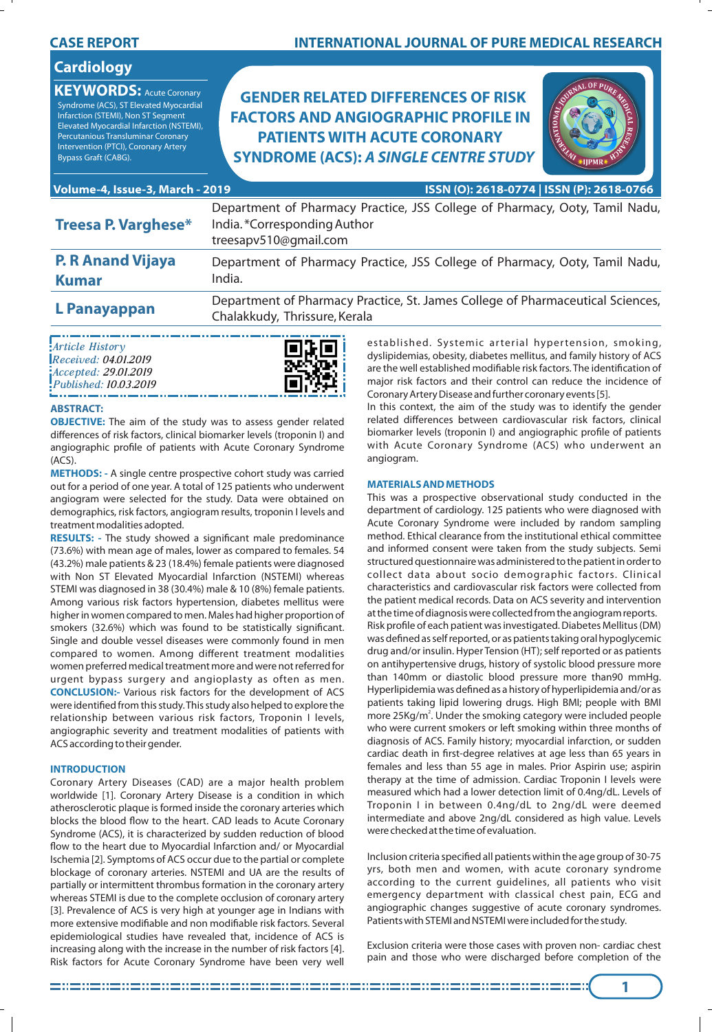| <b>Cardiology</b><br><b>KEYWORDS: Acute Coronary</b><br>Syndrome (ACS), ST Elevated Myocardial<br>Infarction (STEMI), Non ST Segment<br>Elevated Myocardial Infarction (NSTEMI),<br>Percutanious Transluminar Coronary<br>Intervention (PTCI), Coronary Artery<br>Bypass Graft (CABG). | <b>GENDER RELATED DIFFERENCES OF RISK</b><br><b>FACTORS AND ANGIOGRAPHIC PROFILE IN</b><br><b>PATIENTS WITH ACUTE CORONARY</b><br><b>SYNDROME (ACS): A SINGLE CENTRE STUDY</b> |
|----------------------------------------------------------------------------------------------------------------------------------------------------------------------------------------------------------------------------------------------------------------------------------------|--------------------------------------------------------------------------------------------------------------------------------------------------------------------------------|
| Volume-4, Issue-3, March - 2019                                                                                                                                                                                                                                                        | ISSN (O): 2618-0774   ISSN (P): 2618-0766                                                                                                                                      |
| <b>Treesa P. Varghese*</b>                                                                                                                                                                                                                                                             | Department of Pharmacy Practice, JSS College of Pharmacy, Ooty, Tamil Nadu,<br>India.*Corresponding Author<br>treesapv510@gmail.com                                            |
| <b>P. R Anand Vijaya</b><br><b>Kumar</b>                                                                                                                                                                                                                                               | Department of Pharmacy Practice, JSS College of Pharmacy, Ooty, Tamil Nadu,<br>India.                                                                                          |
| L Panayappan                                                                                                                                                                                                                                                                           | Department of Pharmacy Practice, St. James College of Pharmaceutical Sciences,<br>Chalakkudy Thrissure Kerala                                                                  |

Chalakkudy, Thrissure, Kerala

**INTERNATIONAL JOURNAL OF PURE MEDICAL RESEARCH**

| Article History       |
|-----------------------|
| Received: 04.01.2019  |
| Accepted: 29.01.2019  |
| Published: 10.03.2019 |

# **ABSTRACT:**

**CASE REPORT**

**OBJECTIVE:** The aim of the study was to assess gender related differences of risk factors, clinical biomarker levels (troponin I) and angiographic profile of patients with Acute Coronary Syndrome (ACS).

**METHODS: -** A single centre prospective cohort study was carried out for a period of one year. A total of 125 patients who underwent angiogram were selected for the study. Data were obtained on demographics, risk factors, angiogram results, troponin I levels and treatment modalities adopted.

**RESULTS:** - The study showed a significant male predominance (73.6%) with mean age of males, lower as compared to females. 54 (43.2%) male patients & 23 (18.4%) female patients were diagnosed with Non ST Elevated Myocardial Infarction (NSTEMI) whereas STEMI was diagnosed in 38 (30.4%) male & 10 (8%) female patients. Among various risk factors hypertension, diabetes mellitus were higher in women compared to men. Males had higher proportion of smokers (32.6%) which was found to be statistically significant. Single and double vessel diseases were commonly found in men compared to women. Among different treatment modalities women preferred medical treatment more and were not referred for urgent bypass surgery and angioplasty as often as men. **CONCLUSION:-** Various risk factors for the development of ACS were identified from this study. This study also helped to explore the relationship between various risk factors, Troponin I levels, angiographic severity and treatment modalities of patients with ACS according to their gender.

# **INTRODUCTION**

Coronary Artery Diseases (CAD) are a major health problem worldwide [1]. Coronary Artery Disease is a condition in which atherosclerotic plaque is formed inside the coronary arteries which blocks the blood flow to the heart. CAD leads to Acute Coronary Syndrome (ACS), it is characterized by sudden reduction of blood flow to the heart due to Myocardial Infarction and/ or Myocardial Ischemia [2]. Symptoms of ACS occur due to the partial or complete blockage of coronary arteries. NSTEMI and UA are the results of partially or intermittent thrombus formation in the coronary artery whereas STEMI is due to the complete occlusion of coronary artery [3]. Prevalence of ACS is very high at younger age in Indians with more extensive modifiable and non modifiable risk factors. Several epidemiological studies have revealed that, incidence of ACS is increasing along with the increase in the number of risk factors [4]. Risk factors for Acute Coronary Syndrome have been very well

established. Systemic arterial hypertension, smoking, dyslipidemias, obesity, diabetes mellitus, and family history of ACS are the well established modifiable risk factors. The identification of major risk factors and their control can reduce the incidence of Coronary Artery Disease and further coronary events [5].

In this context, the aim of the study was to identify the gender related differences between cardiovascular risk factors, clinical biomarker levels (troponin I) and angiographic profile of patients with Acute Coronary Syndrome (ACS) who underwent an angiogram.

# **MATERIALS AND METHODS**

This was a prospective observational study conducted in the department of cardiology. 125 patients who were diagnosed with Acute Coronary Syndrome were included by random sampling method. Ethical clearance from the institutional ethical committee and informed consent were taken from the study subjects. Semi structured questionnaire was administered to the patient in order to collect data about socio demographic factors. Clinical characteristics and cardiovascular risk factors were collected from the patient medical records. Data on ACS severity and intervention at the time of diagnosis were collected from the angiogram reports. Risk profile of each patient was investigated. Diabetes Mellitus (DM) was defined as self reported, or as patients taking oral hypoglycemic drug and/or insulin. Hyper Tension (HT); self reported or as patients on antihypertensive drugs, history of systolic blood pressure more than 140mm or diastolic blood pressure more than90 mmHg. Hyperlipidemia was defined as a history of hyperlipidemia and/or as patients taking lipid lowering drugs. High BMI; people with BMI more 25Kg/m<sup>2</sup>. Under the smoking category were included people who were current smokers or left smoking within three months of diagnosis of ACS. Family history; myocardial infarction, or sudden cardiac death in first-degree relatives at age less than 65 years in females and less than 55 age in males. Prior Aspirin use; aspirin therapy at the time of admission. Cardiac Troponin I levels were measured which had a lower detection limit of 0.4ng/dL. Levels of Troponin I in between 0.4ng/dL to 2ng/dL were deemed intermediate and above 2ng/dL considered as high value. Levels were checked at the time of evaluation.

Inclusion criteria specified all patients within the age group of 30-75 yrs, both men and women, with acute coronary syndrome according to the current guidelines, all patients who visit emergency department with classical chest pain, ECG and angiographic changes suggestive of acute coronary syndromes. Patients with STEMI and NSTEMI were included for the study.

Exclusion criteria were those cases with proven non- cardiac chest pain and those who were discharged before completion of the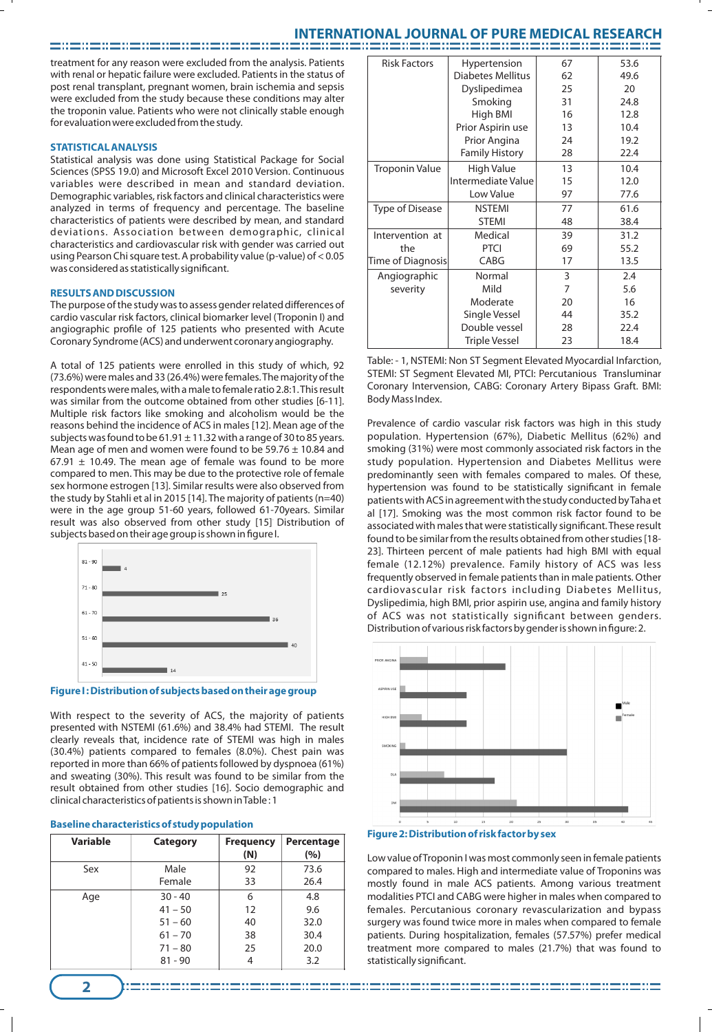# **INTERNATIONAL JOURNAL OF PURE MEDICAL RESEARCH**

treatment for any reason were excluded from the analysis. Patients with renal or hepatic failure were excluded. Patients in the status of post renal transplant, pregnant women, brain ischemia and sepsis were excluded from the study because these conditions may alter the troponin value. Patients who were not clinically stable enough for evaluation were excluded from the study.

ando a composição de composição do composição do composição de composição do composição do composição do compo<br>Anos de composição do composição do composição do composição do composição do composição do composição do comp

#### **STATISTICAL ANALYSIS**

Statistical analysis was done using Statistical Package for Social Sciences (SPSS 19.0) and Microsoft Excel 2010 Version. Continuous variables were described in mean and standard deviation. Demographic variables, risk factors and clinical characteristics were analyzed in terms of frequency and percentage. The baseline characteristics of patients were described by mean, and standard deviations. Association between demographic, clinical characteristics and cardiovascular risk with gender was carried out using Pearson Chi square test. A probability value (p-value) of < 0.05 was considered as statistically significant.

#### **RESULTS AND DISCUSSION**

The purpose of the study was to assess gender related differences of cardio vascular risk factors, clinical biomarker level (Troponin I) and angiographic profile of 125 patients who presented with Acute Coronary Syndrome (ACS) and underwent coronary angiography.

A total of 125 patients were enrolled in this study of which, 92 (73.6%) were males and 33 (26.4%) were females. The majority of the respondents were males, with a male to female ratio 2.8:1. This result was similar from the outcome obtained from other studies [6-11]. Multiple risk factors like smoking and alcoholism would be the reasons behind the incidence of ACS in males [12]. Mean age of the subjects was found to be 61.91  $\pm$  11.32 with a range of 30 to 85 years. Mean age of men and women were found to be  $59.76 \pm 10.84$  and 67.91  $\pm$  10.49. The mean age of female was found to be more compared to men. This may be due to the protective role of female sex hormone estrogen [13]. Similar results were also observed from the study by Stahli et al in 2015 [14]. The majority of patients (n=40) were in the age group 51-60 years, followed 61-70years. Similar . result was also observed from other study [15] Distribution of subjects based on their age group is shown in figure I.



#### **Figure I : Distribution of subjects based on their age group**

With respect to the severity of ACS, the majority of patients presented with NSTEMI (61.6%) and 38.4% had STEMI. The result clearly reveals that, incidence rate of STEMI was high in males (30.4%) patients compared to females (8.0%). Chest pain was reported in more than 66% of patients followed by dyspnoea (61%) and sweating (30%). This result was found to be similar from the result obtained from other studies [16]. Socio demographic and clinical characteristics of patients is shown in Table : 1

| Variable | <b>Category</b> | <b>Frequency</b><br>(N) | Percentage<br>(%) |
|----------|-----------------|-------------------------|-------------------|
| Sex      | Male            | 92                      | 73.6              |
|          | Female          | 33                      | 26.4              |
| Age      | $30 - 40$       | 6                       | 4.8               |
|          | $41 - 50$       | 12                      | 9.6               |
|          | $51 - 60$       | 40                      | 32.0              |
|          | $61 - 70$       | 38                      | 30.4              |
|          | $71 - 80$       | 25                      | 20.0              |
|          | $81 - 90$       | 4                       | 3.2               |

| <b>Risk Factors</b>   | Hypertension             | 67 | 53.6 |
|-----------------------|--------------------------|----|------|
|                       | <b>Diabetes Mellitus</b> | 62 | 49.6 |
|                       | Dyslipedimea             | 25 | 20   |
|                       | Smoking                  | 31 | 24.8 |
|                       | High BMI                 | 16 | 12.8 |
|                       | Prior Aspirin use        | 13 | 10.4 |
|                       | Prior Angina             | 24 | 19.2 |
|                       | <b>Family History</b>    | 28 | 22.4 |
| <b>Troponin Value</b> | High Value               | 13 | 10.4 |
|                       | Intermediate Value       | 15 | 12.0 |
|                       | Low Value                | 97 | 77.6 |
| Type of Disease       | <b>NSTEMI</b>            | 77 | 61.6 |
|                       | <b>STEMI</b>             | 48 | 38.4 |
| Intervention at       | Medical                  | 39 | 31.2 |
| the                   | <b>PTCI</b>              | 69 | 55.2 |
| Time of Diagnosis     | CABG                     | 17 | 13.5 |
| Angiographic          | Normal                   | 3  | 2.4  |
| severity              | Mild                     | 7  | 5.6  |
|                       | Moderate                 | 20 | 16   |
|                       | Single Vessel            | 44 | 35.2 |
|                       | Double vessel            | 28 | 22.4 |
|                       | <b>Triple Vessel</b>     | 23 | 18.4 |

Table: - 1, NSTEMI: Non ST Segment Elevated Myocardial Infarction, STEMI: ST Segment Elevated MI, PTCI: Percutanious Transluminar Coronary Intervension, CABG: Coronary Artery Bipass Graft. BMI: Body Mass Index.

Prevalence of cardio vascular risk factors was high in this study population. Hypertension (67%), Diabetic Mellitus (62%) and smoking (31%) were most commonly associated risk factors in the study population. Hypertension and Diabetes Mellitus were predominantly seen with females compared to males. Of these, hypertension was found to be statistically significant in female patients with ACS in agreement with the study conducted by Taha et al [17]. Smoking was the most common risk factor found to be associated with males that were statistically significant. These result found to be similar from the results obtained from other studies [18- 23]. Thirteen percent of male patients had high BMI with equal female (12.12%) prevalence. Family history of ACS was less frequently observed in female patients than in male patients. Other cardiovascular risk factors including Diabetes Mellitus, Dyslipedimia, high BMI, prior aspirin use, angina and family history of ACS was not statistically significant between genders. Distribution of various risk factors by gender is shown in figure: 2.



Low value of Troponin I was most commonly seen in female patients compared to males. High and intermediate value of Troponins was mostly found in male ACS patients. Among various treatment modalities PTCI and CABG were higher in males when compared to females. Percutanious coronary revascularization and bypass surgery was found twice more in males when compared to female patients. During hospitalization, females (57.57%) prefer medical treatment more compared to males (21.7%) that was found to statistically significant.